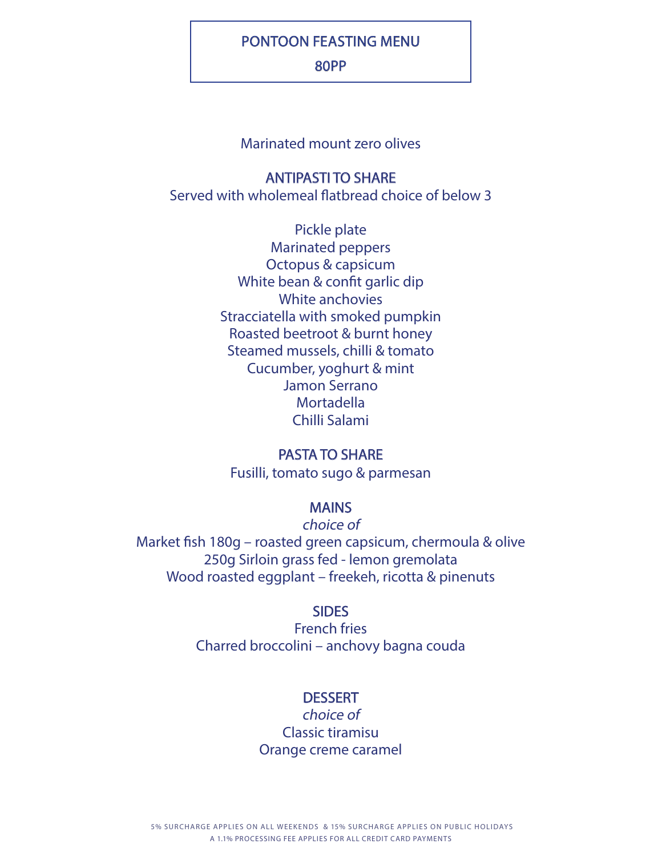# PONTOON FEASTING MENU

### 80PP

# Marinated mount zero olives

## ANTIPASTI TO SHARE

Served with wholemeal flatbread choice of below 3

Pickle plate Marinated peppers Octopus & capsicum White bean & confit garlic dip White anchovies Stracciatella with smoked pumpkin Roasted beetroot & burnt honey Steamed mussels, chilli & tomato Cucumber, yoghurt & mint Jamon Serrano Mortadella Chilli Salami

## PASTA TO SHARE

Fusilli, tomato sugo & parmesan

# MAINS

choice of Market fish 180g – roasted green capsicum, chermoula & olive 250g Sirloin grass fed - lemon gremolata Wood roasted eggplant – freekeh, ricotta & pinenuts

#### **SIDES**

French fries Charred broccolini – anchovy bagna couda

### **DESSERT**

choice of Classic tiramisu Orange creme caramel